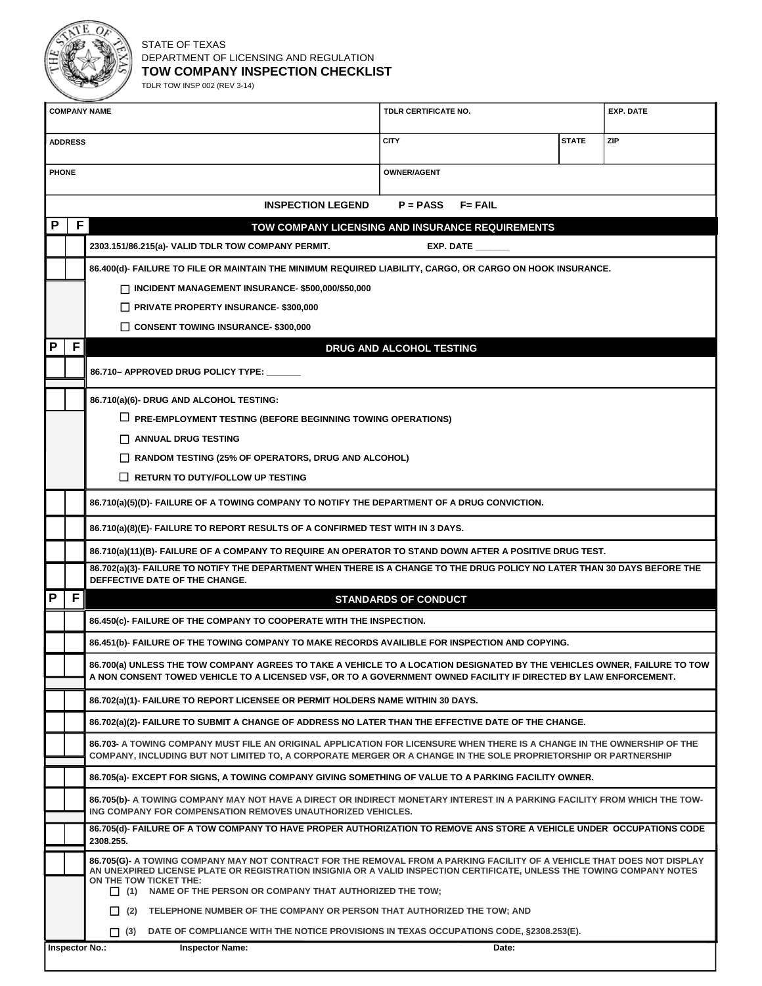

## STATE OF TEXAS DEPARTMENT OF LICENSING AND REGULATION **TOW COMPANY INSPECTION CHECKLIST**

TDLR TOW INSP 002 (REV 3-14)

| <b>COMPANY NAME</b> |    |                                                                                                                                                                                                                                                                                                                                                  | TDLR CERTIFICATE NO.                                                                                                                                                                                                                         |                  |              | <b>EXP. DATE</b> |  |  |
|---------------------|----|--------------------------------------------------------------------------------------------------------------------------------------------------------------------------------------------------------------------------------------------------------------------------------------------------------------------------------------------------|----------------------------------------------------------------------------------------------------------------------------------------------------------------------------------------------------------------------------------------------|------------------|--------------|------------------|--|--|
| <b>ADDRESS</b>      |    |                                                                                                                                                                                                                                                                                                                                                  | <b>CITY</b>                                                                                                                                                                                                                                  |                  | <b>STATE</b> | ZIP              |  |  |
| <b>PHONE</b>        |    |                                                                                                                                                                                                                                                                                                                                                  | <b>OWNER/AGENT</b>                                                                                                                                                                                                                           |                  |              |                  |  |  |
|                     |    | <b>INSPECTION LEGEND</b>                                                                                                                                                                                                                                                                                                                         | $P = PASS$ $F = FAIL$                                                                                                                                                                                                                        |                  |              |                  |  |  |
| P                   | F. |                                                                                                                                                                                                                                                                                                                                                  | TOW COMPANY LICENSING AND INSURANCE REQUIREMENTS                                                                                                                                                                                             |                  |              |                  |  |  |
|                     |    | 2303.151/86.215(a)- VALID TDLR TOW COMPANY PERMIT.                                                                                                                                                                                                                                                                                               |                                                                                                                                                                                                                                              | <b>EXP. DATE</b> |              |                  |  |  |
|                     |    | 86.400(d)- FAILURE TO FILE OR MAINTAIN THE MINIMUM REQUIRED LIABILITY, CARGO, OR CARGO ON HOOK INSURANCE.                                                                                                                                                                                                                                        |                                                                                                                                                                                                                                              |                  |              |                  |  |  |
|                     |    | $\Box$ INCIDENT MANAGEMENT INSURANCE-\$500,000/\$50,000                                                                                                                                                                                                                                                                                          |                                                                                                                                                                                                                                              |                  |              |                  |  |  |
|                     |    | PRIVATE PROPERTY INSURANCE-\$300,000                                                                                                                                                                                                                                                                                                             |                                                                                                                                                                                                                                              |                  |              |                  |  |  |
|                     |    | $\Box$ CONSENT TOWING INSURANCE-\$300,000                                                                                                                                                                                                                                                                                                        |                                                                                                                                                                                                                                              |                  |              |                  |  |  |
| P                   | F. |                                                                                                                                                                                                                                                                                                                                                  | <b>DRUG AND ALCOHOL TESTING</b>                                                                                                                                                                                                              |                  |              |                  |  |  |
|                     |    | 86.710- APPROVED DRUG POLICY TYPE: ______                                                                                                                                                                                                                                                                                                        |                                                                                                                                                                                                                                              |                  |              |                  |  |  |
|                     |    | 86.710(a)(6)- DRUG AND ALCOHOL TESTING:                                                                                                                                                                                                                                                                                                          |                                                                                                                                                                                                                                              |                  |              |                  |  |  |
|                     |    | $\Box$ PRE-EMPLOYMENT TESTING (BEFORE BEGINNING TOWING OPERATIONS)                                                                                                                                                                                                                                                                               |                                                                                                                                                                                                                                              |                  |              |                  |  |  |
|                     |    | $\Box$ ANNUAL DRUG TESTING                                                                                                                                                                                                                                                                                                                       |                                                                                                                                                                                                                                              |                  |              |                  |  |  |
|                     |    | $\Box$ RANDOM TESTING (25% OF OPERATORS, DRUG AND ALCOHOL)                                                                                                                                                                                                                                                                                       |                                                                                                                                                                                                                                              |                  |              |                  |  |  |
|                     |    | $\Box$ RETURN TO DUTY/FOLLOW UP TESTING                                                                                                                                                                                                                                                                                                          |                                                                                                                                                                                                                                              |                  |              |                  |  |  |
|                     |    | 86.710(a)(5)(D)- FAILURE OF A TOWING COMPANY TO NOTIFY THE DEPARTMENT OF A DRUG CONVICTION.                                                                                                                                                                                                                                                      |                                                                                                                                                                                                                                              |                  |              |                  |  |  |
|                     |    | 86.710(a)(8)(E)-FAILURE TO REPORT RESULTS OF A CONFIRMED TEST WITH IN 3 DAYS.                                                                                                                                                                                                                                                                    |                                                                                                                                                                                                                                              |                  |              |                  |  |  |
|                     |    | 86.710(a)(11)(B)- FAILURE OF A COMPANY TO REQUIRE AN OPERATOR TO STAND DOWN AFTER A POSITIVE DRUG TEST.                                                                                                                                                                                                                                          |                                                                                                                                                                                                                                              |                  |              |                  |  |  |
|                     |    | 86.702(a)(3)- FAILURE TO NOTIFY THE DEPARTMENT WHEN THERE IS A CHANGE TO THE DRUG POLICY NO LATER THAN 30 DAYS BEFORE THE<br>DEFFECTIVE DATE OF THE CHANGE.                                                                                                                                                                                      |                                                                                                                                                                                                                                              |                  |              |                  |  |  |
| P                   | F  |                                                                                                                                                                                                                                                                                                                                                  | <b>STANDARDS OF CONDUCT</b>                                                                                                                                                                                                                  |                  |              |                  |  |  |
|                     |    | 86.450(c)- FAILURE OF THE COMPANY TO COOPERATE WITH THE INSPECTION.                                                                                                                                                                                                                                                                              |                                                                                                                                                                                                                                              |                  |              |                  |  |  |
|                     |    |                                                                                                                                                                                                                                                                                                                                                  | 86.451(b)- FAILURE OF THE TOWING COMPANY TO MAKE RECORDS AVAILIBLE FOR INSPECTION AND COPYING.                                                                                                                                               |                  |              |                  |  |  |
|                     |    |                                                                                                                                                                                                                                                                                                                                                  | 86.700(a) UNLESS THE TOW COMPANY AGREES TO TAKE A VEHICLE TO A LOCATION DESIGNATED BY THE VEHICLES OWNER, FAILURE TO TOW<br>A NON CONSENT TOWED VEHICLE TO A LICENSED VSF, OR TO A GOVERNMENT OWNED FACILITY IF DIRECTED BY LAW ENFORCEMENT. |                  |              |                  |  |  |
|                     |    | 86.702(a)(1)- FAILURE TO REPORT LICENSEE OR PERMIT HOLDERS NAME WITHIN 30 DAYS.                                                                                                                                                                                                                                                                  |                                                                                                                                                                                                                                              |                  |              |                  |  |  |
|                     |    | 86.702(a)(2)- FAILURE TO SUBMIT A CHANGE OF ADDRESS NO LATER THAN THE EFFECTIVE DATE OF THE CHANGE.                                                                                                                                                                                                                                              |                                                                                                                                                                                                                                              |                  |              |                  |  |  |
|                     |    | 86.703- A TOWING COMPANY MUST FILE AN ORIGINAL APPLICATION FOR LICENSURE WHEN THERE IS A CHANGE IN THE OWNERSHIP OF THE<br>COMPANY, INCLUDING BUT NOT LIMITED TO, A CORPORATE MERGER OR A CHANGE IN THE SOLE PROPRIETORSHIP OR PARTNERSHIP                                                                                                       |                                                                                                                                                                                                                                              |                  |              |                  |  |  |
|                     |    | 86.705(a)- EXCEPT FOR SIGNS, A TOWING COMPANY GIVING SOMETHING OF VALUE TO A PARKING FACILITY OWNER.                                                                                                                                                                                                                                             |                                                                                                                                                                                                                                              |                  |              |                  |  |  |
|                     |    | 86.705(b)- A TOWING COMPANY MAY NOT HAVE A DIRECT OR INDIRECT MONETARY INTEREST IN A PARKING FACILITY FROM WHICH THE TOW-<br>ING COMPANY FOR COMPENSATION REMOVES UNAUTHORIZED VEHICLES.                                                                                                                                                         |                                                                                                                                                                                                                                              |                  |              |                  |  |  |
|                     |    | 86.705(d)- FAILURE OF A TOW COMPANY TO HAVE PROPER AUTHORIZATION TO REMOVE ANS STORE A VEHICLE UNDER OCCUPATIONS CODE<br>2308.255.                                                                                                                                                                                                               |                                                                                                                                                                                                                                              |                  |              |                  |  |  |
|                     |    | 86.705(G)- A TOWING COMPANY MAY NOT CONTRACT FOR THE REMOVAL FROM A PARKING FACILITY OF A VEHICLE THAT DOES NOT DISPLAY<br>AN UNEXPIRED LICENSE PLATE OR REGISTRATION INSIGNIA OR A VALID INSPECTION CERTIFICATE, UNLESS THE TOWING COMPANY NOTES<br>ON THE TOW TICKET THE:<br>$\Box$ (1) NAME OF THE PERSON OR COMPANY THAT AUTHORIZED THE TOW: |                                                                                                                                                                                                                                              |                  |              |                  |  |  |
|                     |    | $\Box$ (2) TELEPHONE NUMBER OF THE COMPANY OR PERSON THAT AUTHORIZED THE TOW; AND                                                                                                                                                                                                                                                                |                                                                                                                                                                                                                                              |                  |              |                  |  |  |
|                     |    | DATE OF COMPLIANCE WITH THE NOTICE PROVISIONS IN TEXAS OCCUPATIONS CODE, §2308.253(E).<br>$\Box$ (3)                                                                                                                                                                                                                                             |                                                                                                                                                                                                                                              |                  |              |                  |  |  |
|                     |    | <b>Inspector No.:</b><br><b>Inspector Name:</b>                                                                                                                                                                                                                                                                                                  |                                                                                                                                                                                                                                              | Date:            |              |                  |  |  |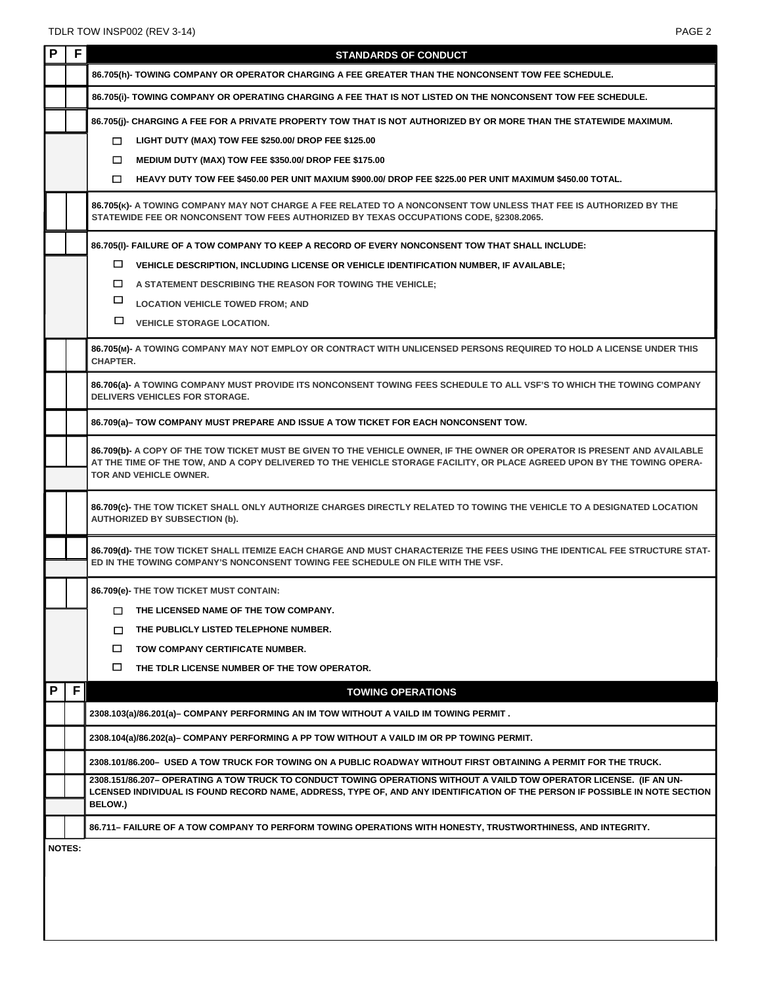| Р | F             | <b>STANDARDS OF CONDUCT</b>                                                                                                                                                                                                                                                    |  |  |  |  |
|---|---------------|--------------------------------------------------------------------------------------------------------------------------------------------------------------------------------------------------------------------------------------------------------------------------------|--|--|--|--|
|   |               | 86.705(h)- TOWING COMPANY OR OPERATOR CHARGING A FEE GREATER THAN THE NONCONSENT TOW FEE SCHEDULE.                                                                                                                                                                             |  |  |  |  |
|   |               | 86.705(i)- TOWING COMPANY OR OPERATING CHARGING A FEE THAT IS NOT LISTED ON THE NONCONSENT TOW FEE SCHEDULE.                                                                                                                                                                   |  |  |  |  |
|   |               | 86.705(j)- CHARGING A FEE FOR A PRIVATE PROPERTY TOW THAT IS NOT AUTHORIZED BY OR MORE THAN THE STATEWIDE MAXIMUM.                                                                                                                                                             |  |  |  |  |
|   |               | LIGHT DUTY (MAX) TOW FEE \$250.00/ DROP FEE \$125.00<br>□                                                                                                                                                                                                                      |  |  |  |  |
|   |               | MEDIUM DUTY (MAX) TOW FEE \$350.00/ DROP FEE \$175.00<br>□                                                                                                                                                                                                                     |  |  |  |  |
|   |               | $\Box$<br>HEAVY DUTY TOW FEE \$450.00 PER UNIT MAXIUM \$900.00/ DROP FEE \$225.00 PER UNIT MAXIMUM \$450.00 TOTAL.                                                                                                                                                             |  |  |  |  |
|   |               | 86.705(K)- A TOWING COMPANY MAY NOT CHARGE A FEE RELATED TO A NONCONSENT TOW UNLESS THAT FEE IS AUTHORIZED BY THE<br>STATEWIDE FEE OR NONCONSENT TOW FEES AUTHORIZED BY TEXAS OCCUPATIONS CODE, §2308.2065.                                                                    |  |  |  |  |
|   |               | 86.705(I)- FAILURE OF A TOW COMPANY TO KEEP A RECORD OF EVERY NONCONSENT TOW THAT SHALL INCLUDE:                                                                                                                                                                               |  |  |  |  |
|   |               | □<br>VEHICLE DESCRIPTION, INCLUDING LICENSE OR VEHICLE IDENTIFICATION NUMBER, IF AVAILABLE;                                                                                                                                                                                    |  |  |  |  |
|   |               | □<br>A STATEMENT DESCRIBING THE REASON FOR TOWING THE VEHICLE;                                                                                                                                                                                                                 |  |  |  |  |
|   |               | □<br><b>LOCATION VEHICLE TOWED FROM; AND</b>                                                                                                                                                                                                                                   |  |  |  |  |
|   |               | □<br><b>VEHICLE STORAGE LOCATION.</b>                                                                                                                                                                                                                                          |  |  |  |  |
|   |               | 86.705(M)- A TOWING COMPANY MAY NOT EMPLOY OR CONTRACT WITH UNLICENSED PERSONS REQUIRED TO HOLD A LICENSE UNDER THIS<br><b>CHAPTER.</b>                                                                                                                                        |  |  |  |  |
|   |               | 86.706(a)- A TOWING COMPANY MUST PROVIDE ITS NONCONSENT TOWING FEES SCHEDULE TO ALL VSF'S TO WHICH THE TOWING COMPANY<br><b>DELIVERS VEHICLES FOR STORAGE.</b>                                                                                                                 |  |  |  |  |
|   |               | 86.709(a)- TOW COMPANY MUST PREPARE AND ISSUE A TOW TICKET FOR EACH NONCONSENT TOW.                                                                                                                                                                                            |  |  |  |  |
|   |               | 86.709(b)- A COPY OF THE TOW TICKET MUST BE GIVEN TO THE VEHICLE OWNER, IF THE OWNER OR OPERATOR IS PRESENT AND AVAILABLE<br>AT THE TIME OF THE TOW, AND A COPY DELIVERED TO THE VEHICLE STORAGE FACILITY, OR PLACE AGREED UPON BY THE TOWING OPERA-<br>TOR AND VEHICLE OWNER. |  |  |  |  |
|   |               | 86.709(c)- THE TOW TICKET SHALL ONLY AUTHORIZE CHARGES DIRECTLY RELATED TO TOWING THE VEHICLE TO A DESIGNATED LOCATION<br><b>AUTHORIZED BY SUBSECTION (b).</b>                                                                                                                 |  |  |  |  |
|   |               | 86.709(d)- THE TOW TICKET SHALL ITEMIZE EACH CHARGE AND MUST CHARACTERIZE THE FEES USING THE IDENTICAL FEE STRUCTURE STAT-<br>ED IN THE TOWING COMPANY'S NONCONSENT TOWING FEE SCHEDULE ON FILE WITH THE VSF.                                                                  |  |  |  |  |
|   |               | 86.709(e)- THE TOW TICKET MUST CONTAIN:                                                                                                                                                                                                                                        |  |  |  |  |
|   |               | THE LICENSED NAME OF THE TOW COMPANY.<br>□                                                                                                                                                                                                                                     |  |  |  |  |
|   |               | THE PUBLICLY LISTED TELEPHONE NUMBER.<br>□                                                                                                                                                                                                                                     |  |  |  |  |
|   |               | □<br>TOW COMPANY CERTIFICATE NUMBER.                                                                                                                                                                                                                                           |  |  |  |  |
|   |               | □<br>THE TDLR LICENSE NUMBER OF THE TOW OPERATOR.                                                                                                                                                                                                                              |  |  |  |  |
| P | F             | <b>TOWING OPERATIONS</b>                                                                                                                                                                                                                                                       |  |  |  |  |
|   |               | 2308.103(a)/86.201(a)– COMPANY PERFORMING AN IM TOW WITHOUT A VAILD IM TOWING PERMIT .                                                                                                                                                                                         |  |  |  |  |
|   |               | 2308.104(a)/86.202(a)– COMPANY PERFORMING A PP TOW WITHOUT A VAILD IM OR PP TOWING PERMIT.                                                                                                                                                                                     |  |  |  |  |
|   |               | 2308.101/86.200– USED A TOW TRUCK FOR TOWING ON A PUBLIC ROADWAY WITHOUT FIRST OBTAINING A PERMIT FOR THE TRUCK.                                                                                                                                                               |  |  |  |  |
|   |               | 2308.151/86.207- OPERATING A TOW TRUCK TO CONDUCT TOWING OPERATIONS WITHOUT A VAILD TOW OPERATOR LICENSE. (IF AN UN-<br>LCENSED INDIVIDUAL IS FOUND RECORD NAME, ADDRESS, TYPE OF, AND ANY IDENTIFICATION OF THE PERSON IF POSSIBLE IN NOTE SECTION<br>BELOW.)                 |  |  |  |  |
|   |               | 86.711- FAILURE OF A TOW COMPANY TO PERFORM TOWING OPERATIONS WITH HONESTY, TRUSTWORTHINESS, AND INTEGRITY.                                                                                                                                                                    |  |  |  |  |
|   | <b>NOTES:</b> |                                                                                                                                                                                                                                                                                |  |  |  |  |